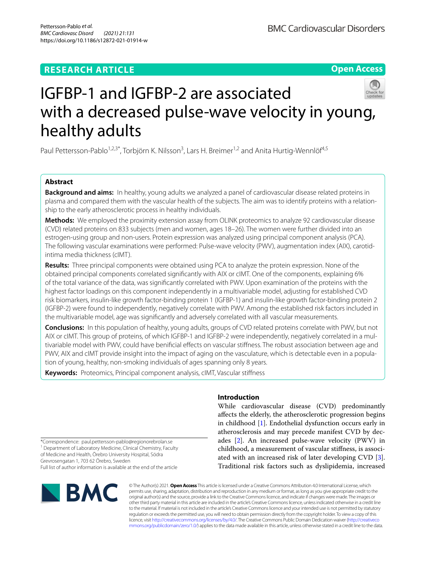#### **RESEARCH ARTICLE**

**Open Access**



## IGFBP‑1 and IGFBP‑2 are associated with a decreased pulse-wave velocity in young, healthy adults

Paul Pettersson-Pablo<sup>1,2,3\*</sup>, Torbjörn K. Nilsson<sup>3</sup>, Lars H. Breimer<sup>1,2</sup> and Anita Hurtig-Wennlöf<sup>4,5</sup>

#### **Abstract**

**Background and aims:** In healthy, young adults we analyzed a panel of cardiovascular disease related proteins in plasma and compared them with the vascular health of the subjects. The aim was to identify proteins with a relationship to the early atherosclerotic process in healthy individuals.

**Methods:** We employed the proximity extension assay from OLINK proteomics to analyze 92 cardiovascular disease (CVD) related proteins on 833 subjects (men and women, ages 18–26). The women were further divided into an estrogen-using group and non-users. Protein expression was analyzed using principal component analysis (PCA). The following vascular examinations were performed: Pulse-wave velocity (PWV), augmentation index (AIX), carotidintima media thickness (cIMT).

**Results:** Three principal components were obtained using PCA to analyze the protein expression. None of the obtained principal components correlated signifcantly with AIX or cIMT. One of the components, explaining 6% of the total variance of the data, was signifcantly correlated with PWV. Upon examination of the proteins with the highest factor loadings on this component independently in a multivariable model, adjusting for established CVD risk biomarkers, insulin-like growth factor-binding protein 1 (IGFBP-1) and insulin-like growth factor-binding protein 2 (IGFBP-2) were found to independently, negatively correlate with PWV. Among the established risk factors included in the multivariable model, age was signifcantly and adversely correlated with all vascular measurements.

**Conclusions:** In this population of healthy, young adults, groups of CVD related proteins correlate with PWV, but not AIX or cIMT. This group of proteins, of which IGFBP-1 and IGFBP-2 were independently, negatively correlated in a multivariable model with PWV, could have benifcial efects on vascular stifness. The robust association between age and PWV, AIX and cIMT provide insight into the impact of aging on the vasculature, which is detectable even in a population of young, healthy, non-smoking individuals of ages spanning only 8 years.

**Keywords:** Proteomics, Principal component analysis, cIMT, Vascular stifness

\*Correspondence: paul.pettersson-pablo@regionorebrolan.se <sup>1</sup> Department of Laboratory Medicine, Clinical Chemistry, Faculty of Medicine and Health, Örebro University Hospital, Södra Grevrosengatan 1, 703 62 Örebro, Sweden Full list of author information is available at the end of the article

# **BMC**

#### **Introduction**

While cardiovascular disease (CVD) predominantly afects the elderly, the atherosclerotic progression begins in childhood [\[1](#page-6-0)]. Endothelial dysfunction occurs early in atherosclerosis and may precede manifest CVD by decades [\[2](#page-6-1)]. An increased pulse-wave velocity (PWV) in childhood, a measurement of vascular stifness, is associated with an increased risk of later developing CVD [\[3](#page-6-2)]. Traditional risk factors such as dyslipidemia, increased

© The Author(s) 2021. **Open Access** This article is licensed under a Creative Commons Attribution 4.0 International License, which permits use, sharing, adaptation, distribution and reproduction in any medium or format, as long as you give appropriate credit to the original author(s) and the source, provide a link to the Creative Commons licence, and indicate if changes were made. The images or other third party material in this article are included in the article's Creative Commons licence, unless indicated otherwise in a credit line to the material. If material is not included in the article's Creative Commons licence and your intended use is not permitted by statutory regulation or exceeds the permitted use, you will need to obtain permission directly from the copyright holder. To view a copy of this licence, visit [http://creativecommons.org/licenses/by/4.0/.](http://creativecommons.org/licenses/by/4.0/) The Creative Commons Public Domain Dedication waiver ([http://creativeco](http://creativecommons.org/publicdomain/zero/1.0/) [mmons.org/publicdomain/zero/1.0/](http://creativecommons.org/publicdomain/zero/1.0/)) applies to the data made available in this article, unless otherwise stated in a credit line to the data.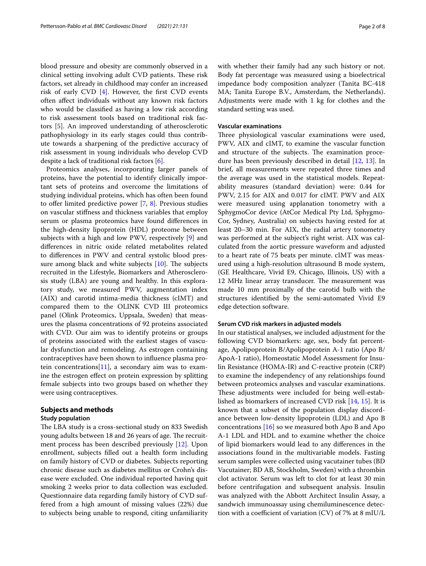blood pressure and obesity are commonly observed in a clinical setting involving adult CVD patients. These risk factors, set already in childhood may confer an increased risk of early CVD  $[4]$  $[4]$ . However, the first CVD events often afect individuals without any known risk factors who would be classifed as having a low risk according to risk assessment tools based on traditional risk factors [[5\]](#page-6-4). An improved understanding of atherosclerotic pathophysiology in its early stages could thus contribute towards a sharpening of the predictive accuracy of risk assessment in young individuals who develop CVD despite a lack of traditional risk factors [[6\]](#page-6-5).

Proteomics analyses, incorporating larger panels of proteins, have the potential to identify clinically important sets of proteins and overcome the limitations of studying individual proteins, which has often been found to offer limited predictive power  $[7, 8]$  $[7, 8]$  $[7, 8]$ . Previous studies on vascular stifness and thickness variables that employ serum or plasma proteomics have found diferences in the high-density lipoprotein (HDL) proteome between subjects with a high and low PWV, respectively [[9\]](#page-6-8) and diferences in nitric oxide related metabolites related to diferences in PWV and central systolic blood pressure among black and white subjects  $[10]$  $[10]$ . The subjects recruited in the Lifestyle, Biomarkers and Atherosclerosis study (LBA) are young and healthy. In this exploratory study, we measured PWV, augmentation index (AIX) and carotid intima-media thickness (cIMT) and compared them to the OLINK CVD III proteomics panel (Olink Proteomics, Uppsala, Sweden) that measures the plasma concentrations of 92 proteins associated with CVD. Our aim was to identify proteins or groups of proteins associated with the earliest stages of vascular dysfunction and remodeling. As estrogen containing contraceptives have been shown to infuence plasma protein concentrations $[11]$  $[11]$ , a secondary aim was to examine the estrogen efect on protein expression by splitting female subjects into two groups based on whether they were using contraceptives.

#### **Subjects and methods**

#### **Study population**

The LBA study is a cross-sectional study on 833 Swedish young adults between 18 and 26 years of age. The recruitment process has been described previously [[12\]](#page-6-11). Upon enrollment, subjects flled out a health form including on family history of CVD or diabetes. Subjects reporting chronic disease such as diabetes mellitus or Crohn's disease were excluded. One individual reported having quit smoking 2 weeks prior to data collection was excluded. Questionnaire data regarding family history of CVD suffered from a high amount of missing values (22%) due to subjects being unable to respond, citing unfamiliarity with whether their family had any such history or not. Body fat percentage was measured using a bioelectrical impedance body composition analyzer (Tanita BC-418 MA; Tanita Europe B.V., Amsterdam, the Netherlands). Adjustments were made with 1 kg for clothes and the standard setting was used.

#### **Vascular examinations**

Three physiological vascular examinations were used, PWV, AIX and cIMT, to examine the vascular function and structure of the subjects. The examination procedure has been previously described in detail [[12,](#page-6-11) [13](#page-6-12)]. In brief, all measurements were repeated three times and the average was used in the statistical models. Repeatability measures (standard deviation) were: 0.44 for PWV, 2.15 for AIX and 0.017 for cIMT. PWV and AIX were measured using applanation tonometry with a SphygmoCor device (AtCor Medical Pty Ltd, Sphygmo-Cor, Sydney, Australia) on subjects having rested for at least 20–30 min. For AIX, the radial artery tonometry was performed at the subject's right wrist. AIX was calculated from the aortic pressure waveform and adjusted to a heart rate of 75 beats per minute. cIMT was measured using a high-resolution ultrasound B mode system, (GE Healthcare, Vivid E9, Chicago, Illinois, US) with a 12 MHz linear array transducer. The measurement was made 10 mm proximally of the carotid bulb with the structures identifed by the semi-automated Vivid E9 edge detection software.

#### **Serum CVD risk markers in adjusted models**

In our statistical analyses, we included adjustment for the following CVD biomarkers: age, sex, body fat percentage, Apolipoprotein B/Apolipoprotein A-1 ratio (Apo B/ ApoA-1 ratio), Homeostatic Model Assessment for Insulin Resistance (HOMA-IR) and C-reactive protein (CRP) to examine the independency of any relationships found between proteomics analyses and vascular examinations. These adjustments were included for being well-established as biomarkers of increased CVD risk [[14,](#page-6-13) [15\]](#page-6-14). It is known that a subset of the population display discordance between low-density lipoprotein (LDL) and Apo B concentrations [\[16\]](#page-6-15) so we measured both Apo B and Apo A-1 LDL and HDL and to examine whether the choice of lipid biomarkers would lead to any diferences in the associations found in the multivariable models. Fasting serum samples were collected using vacutainer tubes (BD Vacutainer; BD AB, Stockholm, Sweden) with a thrombin clot activator. Serum was left to clot for at least 30 min before centrifugation and subsequent analysis. Insulin was analyzed with the Abbott Architect Insulin Assay, a sandwich immunoassay using chemiluminescence detection with a coefficient of variation  $(CV)$  of 7% at 8 mIU/L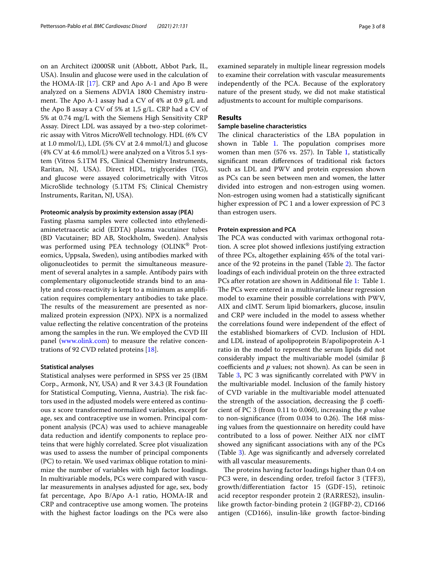on an Architect i2000SR unit (Abbott, Abbot Park, IL, USA). Insulin and glucose were used in the calculation of the HOMA-IR [\[17](#page-6-16)]. CRP and Apo A-1 and Apo B were analyzed on a Siemens ADVIA 1800 Chemistry instrument. The Apo A-1 assay had a CV of 4% at 0.9 g/L and the Apo B assay a CV of 5% at 1,5 g/L. CRP had a CV of 5% at 0.74 mg/L with the Siemens High Sensitivity CRP Assay. Direct LDL was assayed by a two-step colorimetric assay with Vitros MicroWell technology. HDL (6% CV at 1.0 mmol/L), LDL (5% CV at 2.4 mmol/L) and glucose (4% CV at 4.6 mmol/L) were analyzed on a Vitros 5.1 system (Vitros 5.1TM FS, Clinical Chemistry Instruments, Raritan, NJ, USA). Direct HDL, triglycerides (TG), and glucose were assayed colorimetrically with Vitros MicroSlide technology (5.1TM FS; Clinical Chemistry Instruments, Raritan, NJ, USA).

#### **Proteomic analysis by proximity extension assay (PEA)**

Fasting plasma samples were collected into ethylenediaminetetraacetic acid (EDTA) plasma vacutainer tubes (BD Vacutainer; BD AB, Stockholm, Sweden). Analysis was performed using PEA technology (OLINK<sup>®</sup> Proteomics, Uppsala, Sweden), using antibodies marked with oligonucleotides to permit the simultaneous measurement of several analytes in a sample. Antibody pairs with complementary oligonucleotide strands bind to an analyte and cross-reactivity is kept to a minimum as amplifcation requires complementary antibodies to take place. The results of the measurement are presented as normalized protein expression (NPX). NPX is a normalized value refecting the relative concentration of the proteins among the samples in the run. We employed the CVD III panel ([www.olink.com\)](http://www.olink.com) to measure the relative concentrations of 92 CVD related proteins [\[18](#page-6-17)].

#### **Statistical analyses**

Statistical analyses were performed in SPSS ver 25 (IBM Corp., Armonk, NY, USA) and R ver 3.4.3 (R Foundation for Statistical Computing, Vienna, Austria). The risk factors used in the adjusted models were entered as continuous z score transformed normalized variables, except for age, sex and contraceptive use in women. Principal component analysis (PCA) was used to achieve manageable data reduction and identify components to replace proteins that were highly correlated. Scree plot visualization was used to assess the number of principal components (PC) to retain. We used varimax oblique rotation to minimize the number of variables with high factor loadings. In multivariable models, PCs were compared with vascular measurements in analyses adjusted for age, sex, body fat percentage, Apo B/Apo A-1 ratio, HOMA-IR and CRP and contraceptive use among women. The proteins with the highest factor loadings on the PCs were also examined separately in multiple linear regression models to examine their correlation with vascular measurements independently of the PCA. Because of the exploratory nature of the present study, we did not make statistical adjustments to account for multiple comparisons.

#### **Results**

#### **Sample baseline characteristics**

The clinical characteristics of the LBA population in shown in Table [1.](#page-3-0) The population comprises more women than men (576 vs. 257). In Table [1,](#page-3-0) statistically signifcant mean diferences of traditional risk factors such as LDL and PWV and protein expression shown as PCs can be seen between men and women, the latter divided into estrogen and non-estrogen using women. Non-estrogen using women had a statistically signifcant higher expression of PC 1 and a lower expression of PC 3 than estrogen users.

#### **Protein expression and PCA**

The PCA was conducted with varimax orthogonal rotation. A scree plot showed infexions justifying extraction of three PCs, altogether explaining 45% of the total vari-ance of the 92 proteins in the panel (Table [2\)](#page-3-1). The factor loadings of each individual protein on the three extracted PCs after rotation are shown in Additional fle [1:](#page-6-18) Table 1. The PCs were entered in a multivariable linear regression model to examine their possible correlations with PWV, AIX and cIMT. Serum lipid biomarkers, glucose, insulin and CRP were included in the model to assess whether the correlations found were independent of the efect of the established biomarkers of CVD. Inclusion of HDL and LDL instead of apolipoprotein B/apolipoprotein A-1 ratio in the model to represent the serum lipids did not considerably impact the multivariable model (similar β coefficients and  $p$  values; not shown). As can be seen in Table [3](#page-4-0), PC 3 was significantly correlated with PWV in the multivariable model. Inclusion of the family history of CVD variable in the multivariable model attenuated the strength of the association, decreasing the β coefficient of PC 3 (from 0.11 to 0.060), increasing the *p* value to non-significance (from  $0.034$  to  $0.26$ ). The 168 missing values from the questionnaire on heredity could have contributed to a loss of power. Neither AIX nor cIMT showed any signifcant associations with any of the PCs (Table [3](#page-4-0)). Age was signifcantly and adversely correlated with all vascular measurements.

The proteins having factor loadings higher than 0.4 on PC3 were, in descending order, trefoil factor 3 (TFF3), growth/diferentiation factor 15 (GDF-15), retinoic acid receptor responder protein 2 (RARRES2), insulinlike growth factor-binding protein 2 (IGFBP-2), CD166 antigen (CD166), insulin-like growth factor-binding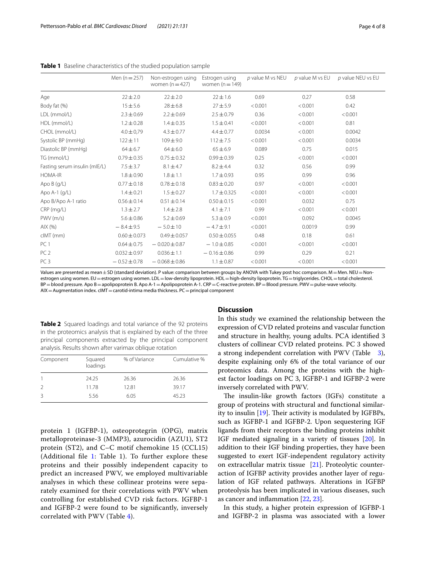|                               | Men $(n = 257)$  | Non-estrogen using<br>women $(n=427)$ | Estrogen using<br>women $(n = 149)$ | $p$ value M vs NEU | $p$ value M vs EU | p value NEU vs EU |
|-------------------------------|------------------|---------------------------------------|-------------------------------------|--------------------|-------------------|-------------------|
| Age                           | $22 \pm 2.0$     | $22 \pm 2.0$                          | $22 \pm 1.6$                        | 0.69               | 0.27              | 0.58              |
| Body fat (%)                  | $15 + 5.6$       | $28 \pm 6.8$                          | $27 + 5.9$                          | < 0.001            | < 0.001           | 0.42              |
| LDL (mmol/L)                  | $2.3 \pm 0.69$   | $2.2 \pm 0.69$                        | $2.5 \pm 0.79$                      | 0.36               | < 0.001           | < 0.001           |
| HDL (mmol/L)                  | $1.2 \pm 0.28$   | $1.4 \pm 0.35$                        | $1.5 \pm 0.41$                      | < 0.001            | < 0.001           | 0.81              |
| CHOL (mmol/L)                 | $4.0 \pm 0.79$   | $4.3 \pm 0.77$                        | $4.4 \pm 0.77$                      | 0.0034             | < 0.001           | 0.0042            |
| Systolic BP (mmHg)            | $122 \pm 11$     | $109 \pm 9.0$                         | $112 \pm 7.5$                       | < 0.001            | < 0.001           | 0.0034            |
| Diastolic BP (mmHg)           | $64 \pm 6.7$     | $64 \pm 6.0$                          | $65 \pm 6.9$                        | 0.089              | 0.75              | 0.015             |
| TG (mmol/L)                   | $0.79 \pm 0.35$  | $0.75 \pm 0.32$                       | $0.99 \pm 0.39$                     | 0.25               | < 0.001           | < 0.001           |
| Fasting serum insulin (mIE/L) | $7.5 \pm 3.7$    | $8.1 \pm 4.7$                         | $8.2 \pm 4.4$                       | 0.32               | 0.56              | 0.99              |
| HOMA-IR                       | $1.8 \pm 0.90$   | $1.8 \pm 1.1$                         | $1.7 \pm 0.93$                      | 0.95               | 0.99              | 0.96              |
| Apo B (g/L)                   | $0.77 \pm 0.18$  | $0.78 \pm 0.18$                       | $0.83 \pm 0.20$                     | 0.97               | < 0.001           | < 0.001           |
| Apo A-1 (g/L)                 | $1.4 \pm 0.21$   | $1.5 \pm 0.27$                        | $1.7 \pm 0.325$                     | < 0.001            | < 0.001           | < 0.001           |
| Apo B/Apo A-1 ratio           | $0.56 \pm 0.14$  | $0.51 \pm 0.14$                       | $0.50 \pm 0.15$                     | < 0.001            | 0.032             | 0.75              |
| $CRP$ (mg/L)                  | $1.3 \pm 2.7$    | $1.4 \pm 2.8$                         | $4.1 \pm 7.1$                       | 0.99               | < 0.001           | < 0.001           |
| PWV(m/s)                      | $5.6 \pm 0.86$   | $5.2 \pm 0.69$                        | $5.3 \pm 0.9$                       | < 0.001            | 0.092             | 0.0045            |
| AIX(%)                        | $-8.4 \pm 9.5$   | $-5.0 \pm 10$                         | $-4.7 \pm 9.1$                      | < 0.001            | 0.0019            | 0.99              |
| clMT (mm)                     | $0.60 \pm 0.073$ | $0.49 \pm 0.057$                      | $0.50 \pm 0.055$                    | 0.48               | 0.18              | 0.61              |
| PC <sub>1</sub>               | $0.64 \pm 0.75$  | $-0.020 \pm 0.87$                     | $-1.0 \pm 0.85$                     | < 0.001            | < 0.001           | < 0.001           |
| PC <sub>2</sub>               | $0.032 \pm 0.97$ | $0.036 \pm 1.1$                       | $-0.16 \pm 0.86$                    | 0.99               | 0.29              | 0.21              |
| PC <sub>3</sub>               | $-0.52 \pm 0.78$ | $-0.068 \pm 0.86$                     | $1.1 \pm 0.87$                      | < 0.001            | < 0.001           | < 0.001           |

<span id="page-3-0"></span>**Table 1** Baseline characteristics of the studied population sample

Values are presented as mean  $\pm$  SD (standard deviation). P value: comparison between groups by ANOVA with Tukey post hoc comparison. M = Men. NEU = Nonestrogen using women. EU=estrogen using women. LDL=low-density lipoprotein. HDL=high-density lipoprotein. TG=triglycerides. CHOL=total cholesterol. BP=blood pressure. Apo B=apolipoprotein B. Apo A-1 = Apolipoprotein A-1. CRP = C-reactive protein. BP = Blood pressure. PWV = pulse-wave velocity.  $AIX =$  Augmentation index.  $clMT =$  carotid-intima media thickness. PC = principal component

<span id="page-3-1"></span>**Table 2** Squared loadings and total variance of the 92 proteins in the proteomics analysis that is explained by each of the three principal components extracted by the principal component analysis. Results shown after varimax oblique rotation

| Component | Squared<br>loadings | % of Variance | Cumulative % |
|-----------|---------------------|---------------|--------------|
|           | 24.25               | 26.36         | 26.36        |
| 2         | 11.78               | 12.81         | 39.17        |
|           | 5.56                | 6.05          | 45.23        |

protein 1 (IGFBP-1), osteoprotegrin (OPG), matrix metalloproteinase-3 (MMP3), azurocidin (AZU1), ST2 protein (ST2), and C–C motif chemokine 15 (CCL15) (Additional file  $1$ : Table 1). To further explore these proteins and their possibly independent capacity to predict an increased PWV, we employed multivariable analyses in which these collinear proteins were separately examined for their correlations with PWV when controlling for established CVD risk factors. IGFBP-1 and IGFBP-2 were found to be signifcantly, inversely correlated with PWV (Table [4\)](#page-4-1).

#### **Discussion**

In this study we examined the relationship between the expression of CVD related proteins and vascular function and structure in healthy, young adults. PCA identifed 3 clusters of collinear CVD related proteins. PC 3 showed a strong independent correlation with PWV (Table [3](#page-4-0)), despite explaining only 6% of the total variance of our proteomics data. Among the proteins with the highest factor loadings on PC 3, IGFBP-1 and IGFBP-2 were inversely correlated with PWV.

The insulin-like growth factors (IGFs) constitute a group of proteins with structural and functional similarity to insulin  $[19]$  $[19]$ . Their activity is modulated by IGFBPs, such as IGFBP-1 and IGFBP-2. Upon sequestering IGF ligands from their receptors the binding proteins inhibit IGF mediated signaling in a variety of tissues [\[20\]](#page-6-20). In addition to their IGF binding properties, they have been suggested to exert IGF-independent regulatory activity on extracellular matrix tissue [[21\]](#page-6-21). Proteolytic counteraction of IGFBP activity provides another layer of regulation of IGF related pathways. Alterations in IGFBP proteolysis has been implicated in various diseases, such as cancer and infammation [\[22,](#page-6-22) [23](#page-6-23)].

In this study, a higher protein expression of IGFBP-1 and IGFBP-2 in plasma was associated with a lower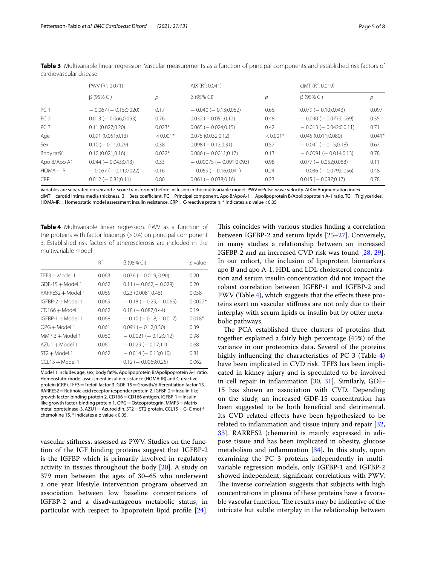|                 | PWV ( $R^2$ : 0.071)       |            | AIX $(R^2: 0.041)$            |            | cIMT (R <sup>2</sup> : 0.019) |          |
|-----------------|----------------------------|------------|-------------------------------|------------|-------------------------------|----------|
|                 | $\beta$ (95% CI)           | р          | $\beta$ (95% CI)              | р          | $\beta$ (95% CI)              | р        |
| PC <sub>1</sub> | $-0.067$ ( $-0.15;0.020$ ) | 0.17       | $-0.040$ ( $-0.13;0.052$ )    | 0.66       | $0.079$ ( $-0.10;0.043$ )     | 0.097    |
| PC <sub>2</sub> | $0.013 (-0.066; 0.093)$    | 0.76       | $0.032 (-0.051;0.12)$         | 0.48       | $-0.040$ ( $-0.077;0.069$ )   | 0.35     |
| PC <sub>3</sub> | 0.11(0.027;0.20)           | $0.023*$   | $0.065$ ( $-0.024:0.15$ )     | 0.42       | $-0.013(-0.042;0.0.11)$       | 0.71     |
| Age             | 0.091(0.051;0.13)          | $< 0.001*$ | 0.075(0.032;0.12)             | $< 0.001*$ | 0.045(0.011;0.080)            | $0.041*$ |
| Sex             | $0.10 (-0.11; 0.29)$       | 0.38       | $0.098 (-0.12; 0.31)$         | 0.57       | $-0.041(-0.15;0.18)$          | 0.67     |
| Body fat%       | 0.10(0.021;0.16)           | $0.022*$   | $0.086$ ( $-0.0011$ :0.17)    | 0.13       | $-0.0091(-0.014:0.13)$        | 0.78     |
| Apo B/Apo A1    | $0.044 (-0.043;0.13)$      | 0.33       | $-0.00075$ ( $-0.091;0.093$ ) | 0.98       | $0.077$ ( $-0.052:0.088$ )    | 0.11     |
| HOMA-IR         | $-0.067$ ( $-0.11;0.022$ ) | 0.16       | $-0.059(-0.16;0.041)$         | 0.24       | $-0.036$ ( $-0.079;0.056$ )   | 0.48     |
| <b>CRP</b>      | $0.012 (-0.81; 0.11)$      | 0.80       | $0.061$ ( $-0.038:0.16$ )     | 0.23       | $0.015 (-0.087; 0.17)$        | 0.78     |

<span id="page-4-0"></span>**Table 3** Multivariable linear regression: Vascular measurements as a function of principal components and established risk factors of cardiovascular disease

Variables are separated on sex and z-score transformed before inclusion in the multivariable model. PWV = Pulse-wave velocity. AIX = Augmentation index. cIMT = carotid intima media thickness. β = Beta coefficient. PC = Principal component. Apo B/ApoA-1 = Apolipoprotein B/Apolipoprotein A-1 ratio. TG = Triglycerides.

HOMA-IR = Homeostatic model assessment insulin resistance. CRP = C-reactive protein. \* indicates a *p* value < 0.05

<span id="page-4-1"></span>**Table 4** Multivariable linear regression. PWV as a function of the proteins with factor loadings  $(>0.4)$  on principal component 3. Established risk factors of atherosclerosis are included in the multivariable model

|                     | $R^2$ | $\beta$ (95% CI)               | p value   |
|---------------------|-------|--------------------------------|-----------|
| $TFF3 + Model 1$    | 0.063 | $0.036$ ( $-0.019; 0.90$ )     | 0.20      |
| $GDF-15+Model1$     | 0.062 | $0.11 (-0.062 - 0.029)$        | 0.20      |
| RARRES2 + Model 1   | 0.065 | 0.23(0.0081:0.45)              | 0.058     |
| $IGFBP-2 + Model 1$ | 0.069 | $-0.18$ ( $-0.29$ ) $-0.065$ ) | $0.0022*$ |
| $CD166 + Model 1$   | 0.062 | $0.18$ ( $-0.087:0.44$ )       | 0.19      |
| $IGFBP-1 + Model 1$ | 0.068 | $-0.10$ ( $-0.18$ : $-0.017$ ) | $0.018*$  |
| OPG + Model 1       | 0.061 | $0.091 (-0.12:0.30)$           | 0.39      |
| $MMP-3 + Model 1$   | 0.060 | $-0.0021(-0.12;0.12)$          | 0.98      |
| AZU1 + Model 1      | 0.061 | $-0.029(-0.17;11)$             | 0.68      |
| $ST2 + Model 1$     | 0.062 | $-0.014(-0.13;0.10)$           | 0.81      |
| $CCL15 + Model 1$   |       | $0.12$ (- 0.0069:0.25)         | 0.062     |

Model 1 includes age, sex, body fat%, Apolipoprotein B/Apolipoprotein A-1 ratio, Homeostatic model assessment insulin resistance (HOMA-IR) and C-reactive protein (CRP). TFF3=Trefoil factor 3. GDF-15=Growth/diferentiation factor 15. RARRES2=Retinoic acid receptor responder protein 2. IGFBP-2=Insulin-like growth factor-binding protein 2. CD166 = CD166 antigen. IGFBP-1 = Insulinlike growth factor-binding protein 1. OPG = Osteoprotegrin. MMP3 = Matrix metalloproteinase-3. AZU1=Azurocidin. ST2=ST2 protein. CCL15=C–C motif chemokine 15. $*$  indicates a p value < 0.05.

vascular stifness, assessed as PWV. Studies on the function of the IGF binding proteins suggest that IGFBP-2 is the IGFBP which is primarily involved in regulatory activity in tissues throughout the body [\[20](#page-6-20)]. A study on 379 men between the ages of 30–65 who underwent a one year lifestyle intervention program observed an association between low baseline concentrations of IGFBP-2 and a disadvantageous metabolic status, in particular with respect to lipoprotein lipid profle [\[24](#page-7-0)]. This coincides with various studies finding a correlation between IGFBP-2 and serum lipids [\[25](#page-7-1)[–27\]](#page-7-2). Conversely, in many studies a relationship between an increased IGFBP-2 and an increased CVD risk was found [\[28](#page-7-3), [29](#page-7-4)]. In our cohort, the inclusion of lipoprotein biomarkers apo B and apo A-1, HDL and LDL cholesterol concentration and serum insulin concentration did not impact the robust correlation between IGFBP-1 and IGFBP-2 and PWV (Table [4\)](#page-4-1), which suggests that the effects these proteins exert on vascular stifness are not only due to their interplay with serum lipids or insulin but by other metabolic pathways.

The PCA established three clusters of proteins that together explained a fairly high percentage (45%) of the variance in our proteomics data. Several of the proteins highly infuencing the characteristics of PC 3 (Table [4](#page-4-1)) have been implicated in CVD risk. TFF3 has been implicated in kidney injury and is speculated to be involved in cell repair in infammation [[30,](#page-7-5) [31\]](#page-7-6). Similarly, GDF-15 has shown an association with CVD. Depending on the study, an increased GDF-15 concentration has been suggested to be both benefcial and detrimental. Its CVD related efects have been hypothesized to be related to infammation and tissue injury and repair [[32](#page-7-7), [33\]](#page-7-8). RARRES2 (chemerin) is mainly expressed in adipose tissue and has been implicated in obesity, glucose metabolism and infammation [\[34](#page-7-9)]. In this study, upon examining the PC 3 proteins independently in multivariable regression models, only IGFBP-1 and IGFBP-2 showed independent, signifcant correlations with PWV. The inverse correlation suggests that subjects with high concentrations in plasma of these proteins have a favorable vascular function. The results may be indicative of the intricate but subtle interplay in the relationship between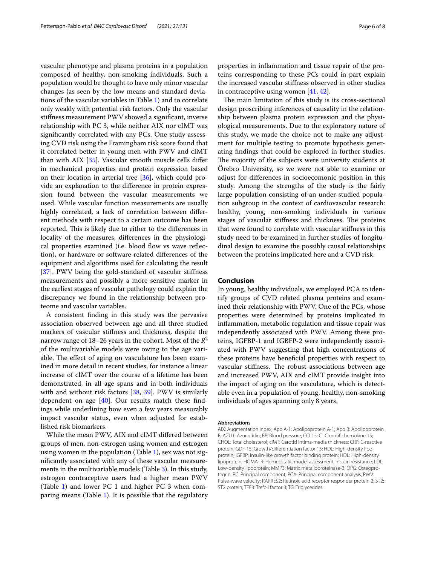vascular phenotype and plasma proteins in a population composed of healthy, non-smoking individuals. Such a population would be thought to have only minor vascular changes (as seen by the low means and standard deviations of the vascular variables in Table [1](#page-3-0)) and to correlate only weakly with potential risk factors. Only the vascular stifness measurement PWV showed a signifcant, inverse relationship with PC 3, while neither AIX nor cIMT was signifcantly correlated with any PCs. One study assessing CVD risk using the Framingham risk score found that it correlated better in young men with PWV and cIMT than with AIX [[35\]](#page-7-10). Vascular smooth muscle cells difer in mechanical properties and protein expression based on their location in arterial tree [\[36\]](#page-7-11), which could provide an explanation to the diference in protein expression found between the vascular measurements we used. While vascular function measurements are usually highly correlated, a lack of correlation between diferent methods with respect to a certain outcome has been reported. This is likely due to either to the differences in locality of the measures, diferences in the physiological properties examined (i.e. blood flow vs wave reflection), or hardware or software related diferences of the equipment and algorithms used for calculating the result [[37\]](#page-7-12). PWV being the gold-standard of vascular stifness measurements and possibly a more sensitive marker in the earliest stages of vascular pathology could explain the discrepancy we found in the relationship between proteome and vascular variables.

A consistent fnding in this study was the pervasive association observed between age and all three studied markers of vascular stifness and thickness, despite the narrow range of  $18-26$  years in the cohort. Most of the  $R^2$ of the multivariable models were owing to the age variable. The effect of aging on vasculature has been examined in more detail in recent studies, for instance a linear increase of cIMT over the course of a lifetime has been demonstrated, in all age spans and in both individuals with and without risk factors [\[38](#page-7-13), [39\]](#page-7-14). PWV is similarly dependent on age  $[40]$  $[40]$ . Our results match these findings while underlining how even a few years measurably impact vascular status, even when adjusted for established risk biomarkers.

While the mean PWV, AIX and cIMT difered between groups of men, non-estrogen using women and estrogen using women in the population (Table [1\)](#page-3-0), sex was not signifcantly associated with any of these vascular measurements in the multivariable models (Table [3\)](#page-4-0). In this study, estrogen contraceptive users had a higher mean PWV (Table [1](#page-3-0)) and lower PC 1 and higher PC 3 when comparing means (Table [1](#page-3-0)). It is possible that the regulatory properties in infammation and tissue repair of the proteins corresponding to these PCs could in part explain the increased vascular stifness observed in other studies in contraceptive using women [[41,](#page-7-16) [42\]](#page-7-17).

The main limitation of this study is its cross-sectional design proscribing inferences of causality in the relationship between plasma protein expression and the physiological measurements. Due to the exploratory nature of this study, we made the choice not to make any adjustment for multiple testing to promote hypothesis generating fndings that could be explored in further studies. The majority of the subjects were university students at Örebro University, so we were not able to examine or adjust for diferences in socioecomonic position in this study. Among the strengths of the study is the fairly large population consisting of an under-studied population subgroup in the context of cardiovascular research: healthy, young, non-smoking individuals in various stages of vascular stiffness and thickness. The proteins that were found to correlate with vascular stifness in this study need to be examined in further studies of longitudinal design to examine the possibly causal relationships between the proteins implicated here and a CVD risk.

#### **Conclusion**

In young, healthy individuals, we employed PCA to identify groups of CVD related plasma proteins and examined their relationship with PWV. One of the PCs, whose properties were determined by proteins implicated in infammation, metabolic regulation and tissue repair was independently associated with PWV. Among these proteins, IGFBP-1 and IGBFP-2 were independently associated with PWV suggesting that high concentrations of these proteins have benefcial properties with respect to vascular stiffness. The robust associations between age and increased PWV, AIX and cIMT provide insight into the impact of aging on the vasculature, which is detectable even in a population of young, healthy, non-smoking individuals of ages spanning only 8 years.

#### **Abbreviations**

AIX: Augmentation index; Apo A-1: Apolipoprotein A-1; Apo B: Apolipoprotein B; AZU1: Azurocidin; BP: Blood pressure; CCL15: C–C motif chemokine 15; CHOL: Total cholesterol; cIMT: Carotid intima-media thickness; CRP: C-reactive protein; GDF-15: Growth/differentiation factor 15; HDL: High-density lipoprotein; IGFBP: Insulin-like growth factor binding protein; HDL: High-density lipoprotein; HOMA-IR: Homeostatic model assessment, insulin resistance; LDL: Low-density lipoprotein; MMP3: Matrix metalloproteinase-3; OPG: Osteoprotegrin; PC: Principal component; PCA: Principal component analysis; PWV: Pulse-wave velocity; RARRES2: Retinoic acid receptor responder protein 2; ST2: ST2 protein; TFF3: Trefoil factor 3; TG: Triglycerides.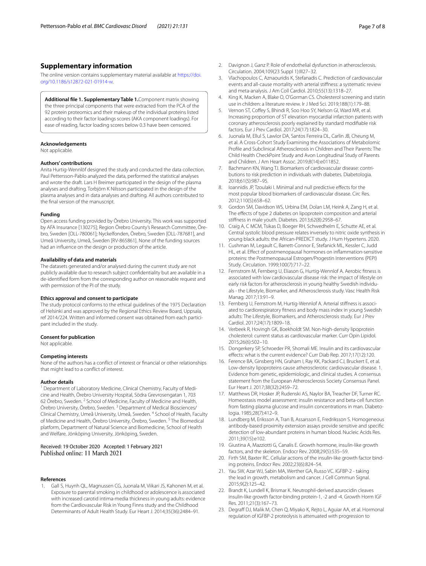#### **Supplementary information**

The online version contains supplementary material available at [https://doi.](https://doi.org/10.1186/s12872-021-01914-w) [org/10.1186/s12872-021-01914-w.](https://doi.org/10.1186/s12872-021-01914-w)

<span id="page-6-18"></span>**Additional fle 1. Supplementary Table 1.**Component matrix showing the three principal components that were extracted from the PCA of the 92 protein proteomics and their makeup of the individual proteins listed according to their factor loadings scores (AKA component loadings). For ease of reading, factor loading scores below 0.3 have been censored.

#### **Acknowledgements**

Not applicable.

#### **Authors' contributions**

Anita Hurtig-Wennlöf designed the study and conducted the data collection. Paul Pettersson-Pablo analyzed the data, performed the statistical analyses and wrote the draft. Lars H Breimer participated in the design of the plasma analyses and drafting. Torbjörn K Nilsson participated in the design of the plasma analyses and in data analyses and drafting. All authors contributed to the fnal version of the manuscript.

#### **Funding**

Open access funding provided by Örebro University. This work was supported by AFA Insurance [130275]; Region Örebro County's Research Committee, Öre‑ bro, Sweden [OLL-780061]; Nyckelfonden, Örebro, Sweden [OLL-787681], and Umeå University, Umeå, Sweden [RV-865861]. None of the funding sources had an infuence on the design or production of the article.

#### **Availability of data and materials**

The datasets generated and/or analysed during the current study are not publicly available due to research subject confdentiality but are available in a de-identifed form from the corresponding author on reasonable request and with permission of the PI of the study.

#### **Ethics approval and consent to participate**

The study protocol conforms to the ethical guidelines of the 1975 Declaration of Helsinki and was approved by the Regional Ethics Review Board, Uppsala, ref 2014/224. Written and informed consent was obtained from each participant included in the study.

#### **Consent for publication**

Not applicable.

#### **Competing interests**

None of the authors has a confict of interest or fnancial or other relationships that might lead to a confict of interest.

#### **Author details**

<sup>1</sup> Department of Laboratory Medicine, Clinical Chemistry, Faculty of Medicine and Health, Örebro University Hospital, Södra Grevrosengatan 1, 703 62 Örebro, Sweden. <sup>2</sup> School of Medicine, Faculty of Medicine and Health, Örebro University, Örebro, Sweden. 3 Department of Medical Biosciences/ Clinical Chemistry, Umeå University, Umeå, Sweden. 4 School of Health, Faculty of Medicine and Health, Örebro University, Örebro, Sweden.<sup>5</sup> The Biomedical platform, Department of Natural Science and Biomedicine, School of Health and Welfare, Jönköping University, Jönköping, Sweden.

### Received: 19 October 2020 Accepted: 1 February 2021

#### **References**

<span id="page-6-0"></span>1. Gall S, Huynh QL, Magnussen CG, Juonala M, Viikari JS, Kahonen M, et al. Exposure to parental smoking in childhood or adolescence is associated with increased carotid intima-media thickness in young adults: evidence from the Cardiovascular Risk in Young Finns study and the Childhood Determinants of Adult Health Study. Eur Heart J. 2014;35(36):2484–91.

- <span id="page-6-1"></span>2. Davignon J, Ganz P. Role of endothelial dysfunction in atherosclerosis. Circulation. 2004;109(23 Suppl 1):III27–32.
- <span id="page-6-2"></span>3. Vlachopoulos C, Aznaouridis K, Stefanadis C. Prediction of cardiovascular events and all-cause mortality with arterial stifness: a systematic review and meta-analysis. J Am Coll Cardiol. 2010;55(13):1318–27.
- <span id="page-6-3"></span>4. King K, Macken A, Blake O, O'Gorman CS. Cholesterol screening and statin use in children: a literature review. Ir J Med Sci. 2019;188(1):179–88.
- <span id="page-6-4"></span>5. Vernon ST, Coffey S, Bhindi R, Soo Hoo SY, Nelson GI, Ward MR, et al. Increasing proportion of ST elevation myocardial infarction patients with coronary atherosclerosis poorly explained by standard modifable risk factors. Eur J Prev Cardiol. 2017;24(17):1824–30.
- <span id="page-6-5"></span>6. Juonala M, Ellul S, Lawlor DA, Santos Ferreira DL, Carlin JB, Cheung M, et al. A Cross-Cohort Study Examining the Associations of Metabolomic Profle and Subclinical Atherosclerosis in Children and Their Parents: The Child Health CheckPoint Study and Avon Longitudinal Study of Parents and Children. J Am Heart Assoc. 2019;8(14):e011852.
- <span id="page-6-6"></span>7. Bachmann KN, Wang TJ. Biomarkers of cardiovascular disease: contributions to risk prediction in individuals with diabetes. Diabetologia. 2018;61(5):987–95.
- <span id="page-6-7"></span>8. Ioannidis JP, Tzoulaki I. Minimal and null predictive efects for the most popular blood biomarkers of cardiovascular disease. Circ Res. 2012;110(5):658–62.
- <span id="page-6-8"></span>Gordon SM, Davidson WS, Urbina EM, Dolan LM, Heink A, Zang H, et al. The effects of type 2 diabetes on lipoprotein composition and arterial stifness in male youth. Diabetes. 2013;62(8):2958–67.
- <span id="page-6-9"></span>10. Craig A, C MCM, Tsikas D, Boeger RH, Schwedhelm E, Schutte AE, et al. Central systolic blood pressure relates inversely to nitric oxide synthesis in young black adults: the African-PREDICT study. J Hum Hypertens. 2020.
- <span id="page-6-10"></span>11. Cushman M, Legault C, Barrett-Connor E, Stefanick ML, Kessler C, Judd HL, et al. Efect of postmenopausal hormones on infammation-sensitive proteins: the Postmenopausal Estrogen/Progestin Interventions (PEPI) Study. Circulation. 1999;100(7):717–22.
- <span id="page-6-11"></span>12. Fernstrom M, Fernberg U, Eliason G, Hurtig-Wennlof A. Aerobic ftness is associated with low cardiovascular disease risk: the impact of lifestyle on early risk factors for atherosclerosis in young healthy Swedish individuals - the Lifestyle, Biomarker, and Atherosclerosis study. Vasc Health Risk Manag. 2017;13:91–9.
- <span id="page-6-12"></span>13. Fernberg U, Fernstrom M, Hurtig-Wennlof A. Arterial stiffness is associated to cardiorespiratory ftness and body mass index in young Swedish adults: The Lifestyle, Biomarkers, and Atherosclerosis study. Eur J Prev Cardiol. 2017;24(17):1809–18.
- <span id="page-6-13"></span>14. Verbeek R, Hovingh GK, Boekholdt SM. Non-high-density lipoprotein cholesterol: current status as cardiovascular marker. Curr Opin Lipidol. 2015;26(6):502–10.
- <span id="page-6-14"></span>15. Dongerkery SP, Schroeder PR, Shomali ME. Insulin and its cardiovascular efects: what is the current evidence? Curr Diab Rep. 2017;17(12):120.
- <span id="page-6-15"></span>16. Ference BA, Ginsberg HN, Graham I, Ray KK, Packard CJ, Bruckert E, et al. Low-density lipoproteins cause atherosclerotic cardiovascular disease. 1. Evidence from genetic, epidemiologic, and clinical studies. A consensus statement from the European Atherosclerosis Society Consensus Panel. Eur Heart J. 2017;38(32):2459–72.
- <span id="page-6-16"></span>17. Matthews DR, Hosker JP, Rudenski AS, Naylor BA, Treacher DF, Turner RC. Homeostasis model assessment: insulin resistance and beta-cell function from fasting plasma glucose and insulin concentrations in man. Diabetologia. 1985;28(7):412–9.
- <span id="page-6-17"></span>18. Lundberg M, Eriksson A, Tran B, Assarsson E, Fredriksson S. Homogeneous antibody-based proximity extension assays provide sensitive and specifc detection of low-abundant proteins in human blood. Nucleic Acids Res. 2011;39(15):e102.
- <span id="page-6-19"></span>19. Giustina A, Mazziotti G, Canalis E. Growth hormone, insulin-like growth factors, and the skeleton. Endocr Rev. 2008;29(5):535–59.
- <span id="page-6-20"></span>20. Firth SM, Baxter RC. Cellular actions of the insulin-like growth factor binding proteins. Endocr Rev. 2002;23(6):824–54.
- <span id="page-6-21"></span>21. Yau SW, Azar WJ, Sabin MA, Werther GA, Russo VC. IGFBP-2 - taking the lead in growth, metabolism and cancer. J Cell Commun Signal. 2015;9(2):125–42.
- <span id="page-6-22"></span>22. Brandt K, Lundell K, Brismar K. Neutrophil-derived azurocidin cleaves insulin-like growth factor-binding protein-1, -2 and -4. Growth Horm IGF Res. 2011;21(3):167–73.
- <span id="page-6-23"></span>23. Degraff DJ, Malik M, Chen Q, Miyako K, Rejto L, Aguiar AA, et al. Hormonal regulation of IGFBP-2 proteolysis is attenuated with progression to